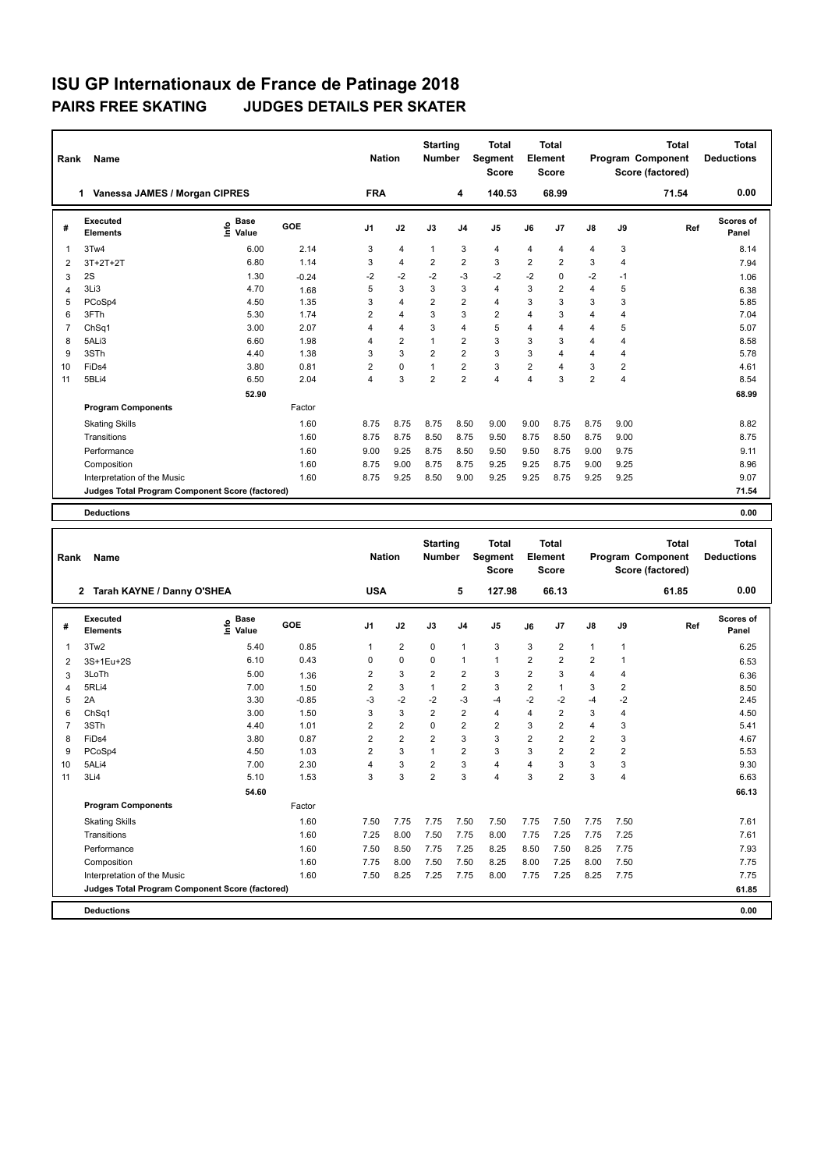| Rank           | Name                                            |                              | <b>Nation</b> |                | <b>Starting</b><br><b>Number</b> | <b>Total</b><br>Segment<br><b>Score</b> | <b>Total</b><br>Element<br>Score |                |                |                | <b>Total</b><br><b>Program Component</b><br>Score (factored) | Total<br><b>Deductions</b> |       |                           |
|----------------|-------------------------------------------------|------------------------------|---------------|----------------|----------------------------------|-----------------------------------------|----------------------------------|----------------|----------------|----------------|--------------------------------------------------------------|----------------------------|-------|---------------------------|
|                | 1 Vanessa JAMES / Morgan CIPRES                 |                              |               | <b>FRA</b>     |                                  |                                         | 4                                | 140.53         | 68.99          |                |                                                              |                            | 71.54 | 0.00                      |
| #              | <b>Executed</b><br><b>Elements</b>              | <b>Base</b><br>١nfo<br>Value | GOE           | J <sub>1</sub> | J2                               | J3                                      | J <sub>4</sub>                   | J <sub>5</sub> | J6             | J <sub>7</sub> | J8                                                           | J9                         | Ref   | <b>Scores of</b><br>Panel |
| 1              | 3Tw4                                            | 6.00                         | 2.14          | 3              | $\overline{4}$                   | $\mathbf{1}$                            | 3                                | $\overline{4}$ | 4              | $\overline{4}$ | 4                                                            | 3                          |       | 8.14                      |
| 2              | $3T+2T+2T$                                      | 6.80                         | 1.14          | 3              | $\overline{4}$                   | $\overline{2}$                          | $\overline{2}$                   | 3              | $\overline{2}$ | $\overline{2}$ | 3                                                            | 4                          |       | 7.94                      |
| 3              | 2S                                              | 1.30                         | $-0.24$       | $-2$           | $-2$                             | $-2$                                    | $-3$                             | $-2$           | $-2$           | 0              | $-2$                                                         | $-1$                       |       | 1.06                      |
| 4              | 3Li3                                            | 4.70                         | 1.68          | 5              | 3                                | 3                                       | 3                                | $\overline{4}$ | 3              | 2              | 4                                                            | 5                          |       | 6.38                      |
| 5              | PCoSp4                                          | 4.50                         | 1.35          | 3              | $\overline{4}$                   | $\overline{2}$                          | $\overline{2}$                   | $\overline{4}$ | 3              | 3              | 3                                                            | 3                          |       | 5.85                      |
| 6              | 3FTh                                            | 5.30                         | 1.74          | 2              | $\overline{4}$                   | 3                                       | 3                                | $\overline{2}$ | 4              | 3              | 4                                                            | 4                          |       | 7.04                      |
| $\overline{7}$ | ChSq <sub>1</sub>                               | 3.00                         | 2.07          | 4              | $\overline{4}$                   | 3                                       | $\overline{4}$                   | 5              | 4              | 4              | 4                                                            | 5                          |       | 5.07                      |
| 8              | 5ALi3                                           | 6.60                         | 1.98          | 4              | $\overline{2}$                   | $\mathbf{1}$                            | $\overline{2}$                   | 3              | 3              | 3              | 4                                                            | 4                          |       | 8.58                      |
| 9              | 3STh                                            | 4.40                         | 1.38          | 3              | 3                                | $\overline{2}$                          | $\overline{2}$                   | 3              | 3              | 4              | 4                                                            | 4                          |       | 5.78                      |
| 10             | FiDs4                                           | 3.80                         | 0.81          | 2              | $\mathbf 0$                      | 1                                       | $\overline{2}$                   | 3              | $\overline{2}$ | $\overline{4}$ | 3                                                            | $\overline{2}$             |       | 4.61                      |
| 11             | 5BLi4                                           | 6.50                         | 2.04          | 4              | 3                                | $\overline{2}$                          | $\overline{2}$                   | $\overline{4}$ | 4              | 3              | $\overline{2}$                                               | 4                          |       | 8.54                      |
|                |                                                 | 52.90                        |               |                |                                  |                                         |                                  |                |                |                |                                                              |                            |       | 68.99                     |
|                | <b>Program Components</b>                       |                              | Factor        |                |                                  |                                         |                                  |                |                |                |                                                              |                            |       |                           |
|                | <b>Skating Skills</b>                           |                              | 1.60          | 8.75           | 8.75                             | 8.75                                    | 8.50                             | 9.00           | 9.00           | 8.75           | 8.75                                                         | 9.00                       |       | 8.82                      |
|                | Transitions                                     |                              | 1.60          | 8.75           | 8.75                             | 8.50                                    | 8.75                             | 9.50           | 8.75           | 8.50           | 8.75                                                         | 9.00                       |       | 8.75                      |
|                | Performance                                     |                              | 1.60          | 9.00           | 9.25                             | 8.75                                    | 8.50                             | 9.50           | 9.50           | 8.75           | 9.00                                                         | 9.75                       |       | 9.11                      |
|                | Composition                                     |                              | 1.60          | 8.75           | 9.00                             | 8.75                                    | 8.75                             | 9.25           | 9.25           | 8.75           | 9.00                                                         | 9.25                       |       | 8.96                      |
|                | Interpretation of the Music                     |                              | 1.60          | 8.75           | 9.25                             | 8.50                                    | 9.00                             | 9.25           | 9.25           | 8.75           | 9.25                                                         | 9.25                       |       | 9.07                      |
|                | Judges Total Program Component Score (factored) |                              |               |                |                                  |                                         |                                  |                |                |                |                                                              |                            |       | 71.54                     |
|                | <b>Deductions</b>                               |                              |               |                |                                  |                                         |                                  |                |                |                |                                                              |                            |       | 0.00                      |

| Rank           | Name                                            |                            | <b>Nation</b> |                | <b>Starting</b><br><b>Number</b> | <b>Total</b><br>Segment<br><b>Score</b> | <b>Total</b><br><b>Element</b><br><b>Score</b> |                |                |                | <b>Total</b><br>Program Component<br>Score (factored) | <b>Total</b><br><b>Deductions</b> |       |                           |
|----------------|-------------------------------------------------|----------------------------|---------------|----------------|----------------------------------|-----------------------------------------|------------------------------------------------|----------------|----------------|----------------|-------------------------------------------------------|-----------------------------------|-------|---------------------------|
|                | 2 Tarah KAYNE / Danny O'SHEA                    |                            |               | <b>USA</b>     |                                  |                                         | 5                                              | 127.98         |                | 66.13          |                                                       |                                   | 61.85 | 0.00                      |
| #              | Executed<br><b>Elements</b>                     | <b>Base</b><br>١m<br>Value | GOE           | J <sub>1</sub> | J2                               | J3                                      | J <sub>4</sub>                                 | J <sub>5</sub> | J6             | J7             | $\mathsf{J}8$                                         | J9                                | Ref   | <b>Scores of</b><br>Panel |
| 1              | 3Tw2                                            | 5.40                       | 0.85          | 1              | $\overline{2}$                   | 0                                       | $\overline{1}$                                 | 3              | 3              | 2              | $\mathbf{1}$                                          | $\mathbf{1}$                      |       | 6.25                      |
| $\overline{2}$ | 3S+1Eu+2S                                       | 6.10                       | 0.43          | $\Omega$       | 0                                | $\Omega$                                | $\overline{1}$                                 | $\mathbf{1}$   | $\overline{2}$ | $\overline{2}$ | $\overline{2}$                                        | 1                                 |       | 6.53                      |
| 3              | 3LoTh                                           | 5.00                       | 1.36          | 2              | 3                                | $\overline{2}$                          | $\overline{2}$                                 | 3              | $\overline{2}$ | 3              | 4                                                     | 4                                 |       | 6.36                      |
| 4              | 5RLi4                                           | 7.00                       | 1.50          | $\overline{2}$ | 3                                | $\mathbf{1}$                            | $\overline{2}$                                 | 3              | $\overline{2}$ | 1              | 3                                                     | 2                                 |       | 8.50                      |
| 5              | 2A                                              | 3.30                       | $-0.85$       | $-3$           | $-2$                             | $-2$                                    | $-3$                                           | $-4$           | $-2$           | $-2$           | $-4$                                                  | $-2$                              |       | 2.45                      |
| 6              | Ch <sub>Sq1</sub>                               | 3.00                       | 1.50          | 3              | 3                                | $\overline{2}$                          | $\overline{2}$                                 | $\overline{4}$ | 4              | 2              | 3                                                     | 4                                 |       | 4.50                      |
| 7              | 3STh                                            | 4.40                       | 1.01          | $\overline{2}$ | $\overline{2}$                   | $\Omega$                                | $\overline{2}$                                 | $\overline{2}$ | 3              | $\overline{2}$ | 4                                                     | 3                                 |       | 5.41                      |
| 8              | FiDs4                                           | 3.80                       | 0.87          | 2              | $\overline{2}$                   | $\overline{2}$                          | 3                                              | 3              | $\overline{2}$ | 2              | 2                                                     | 3                                 |       | 4.67                      |
| 9              | PCoSp4                                          | 4.50                       | 1.03          | $\overline{2}$ | 3                                | 1                                       | $\overline{2}$                                 | 3              | 3              | $\overline{2}$ | $\overline{2}$                                        | 2                                 |       | 5.53                      |
| 10             | 5ALi4                                           | 7.00                       | 2.30          | 4              | 3                                | $\overline{2}$                          | 3                                              | $\overline{4}$ | 4              | 3              | 3                                                     | 3                                 |       | 9.30                      |
| 11             | 3Li4                                            | 5.10                       | 1.53          | 3              | 3                                | $\overline{2}$                          | 3                                              | $\overline{4}$ | 3              | $\overline{2}$ | 3                                                     | 4                                 |       | 6.63                      |
|                |                                                 | 54.60                      |               |                |                                  |                                         |                                                |                |                |                |                                                       |                                   |       | 66.13                     |
|                | <b>Program Components</b>                       |                            | Factor        |                |                                  |                                         |                                                |                |                |                |                                                       |                                   |       |                           |
|                | <b>Skating Skills</b>                           |                            | 1.60          | 7.50           | 7.75                             | 7.75                                    | 7.50                                           | 7.50           | 7.75           | 7.50           | 7.75                                                  | 7.50                              |       | 7.61                      |
|                | Transitions                                     |                            | 1.60          | 7.25           | 8.00                             | 7.50                                    | 7.75                                           | 8.00           | 7.75           | 7.25           | 7.75                                                  | 7.25                              |       | 7.61                      |
|                | Performance                                     |                            | 1.60          | 7.50           | 8.50                             | 7.75                                    | 7.25                                           | 8.25           | 8.50           | 7.50           | 8.25                                                  | 7.75                              |       | 7.93                      |
|                | Composition                                     |                            | 1.60          | 7.75           | 8.00                             | 7.50                                    | 7.50                                           | 8.25           | 8.00           | 7.25           | 8.00                                                  | 7.50                              |       | 7.75                      |
|                | Interpretation of the Music                     |                            | 1.60          | 7.50           | 8.25                             | 7.25                                    | 7.75                                           | 8.00           | 7.75           | 7.25           | 8.25                                                  | 7.75                              |       | 7.75                      |
|                | Judges Total Program Component Score (factored) |                            |               |                |                                  |                                         |                                                |                |                |                |                                                       |                                   |       | 61.85                     |
|                | <b>Deductions</b>                               |                            |               |                |                                  |                                         |                                                |                |                |                |                                                       |                                   |       | 0.00                      |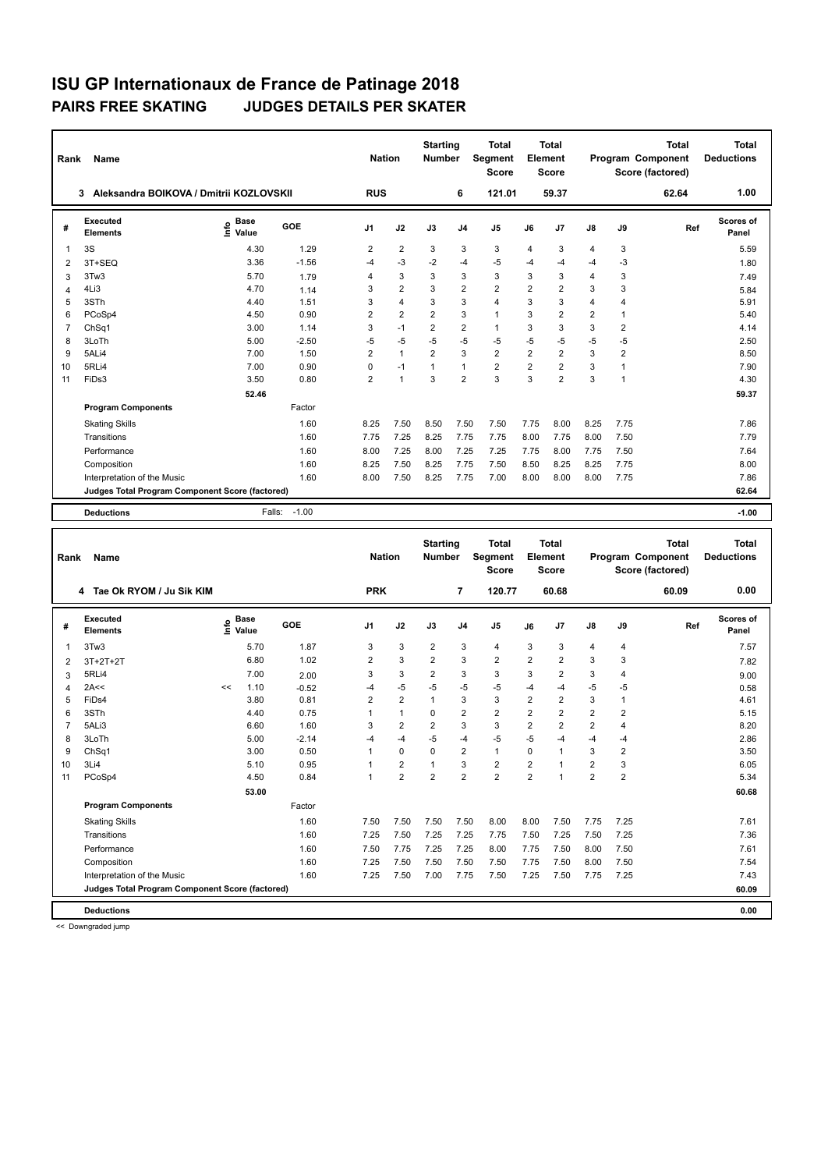| Rank           | Name                                            |                    |         |                |                | <b>Starting</b><br><b>Number</b> |                | <b>Total</b><br><b>Segment</b><br><b>Score</b> | <b>Total</b><br>Element<br>Score |                |                |                | <b>Total</b><br>Program Component<br>Score (factored) | <b>Total</b><br><b>Deductions</b> |
|----------------|-------------------------------------------------|--------------------|---------|----------------|----------------|----------------------------------|----------------|------------------------------------------------|----------------------------------|----------------|----------------|----------------|-------------------------------------------------------|-----------------------------------|
|                | Aleksandra BOIKOVA / Dmitrii KOZLOVSKII<br>3    |                    |         | <b>RUS</b>     |                |                                  | 6              | 121.01                                         |                                  | 59.37          |                |                | 62.64                                                 | 1.00                              |
| #              | Executed<br><b>Elements</b>                     | $\frac{e}{E}$ Base | GOE     | J <sub>1</sub> | J2             | J3                               | J <sub>4</sub> | J <sub>5</sub>                                 | J6                               | J7             | J8             | J9             | Ref                                                   | Scores of<br>Panel                |
| 1              | 3S                                              | 4.30               | 1.29    | $\overline{2}$ | $\overline{2}$ | 3                                | 3              | 3                                              | $\overline{4}$                   | 3              | $\overline{4}$ | 3              |                                                       | 5.59                              |
| 2              | 3T+SEQ                                          | 3.36               | $-1.56$ | $-4$           | $-3$           | $-2$                             | $-4$           | $-5$                                           | $-4$                             | $-4$           | $-4$           | $-3$           |                                                       | 1.80                              |
| 3              | 3Tw3                                            | 5.70               | 1.79    | 4              | 3              | 3                                | 3              | 3                                              | 3                                | 3              | $\overline{4}$ | 3              |                                                       | 7.49                              |
| $\overline{4}$ | 4Li3                                            | 4.70               | 1.14    | 3              | $\overline{2}$ | 3                                | $\overline{2}$ | $\overline{2}$                                 | $\overline{2}$                   | $\overline{2}$ | 3              | 3              |                                                       | 5.84                              |
| 5              | 3STh                                            | 4.40               | 1.51    | 3              | $\overline{4}$ | 3                                | 3              | $\overline{4}$                                 | 3                                | 3              | $\overline{4}$ | 4              |                                                       | 5.91                              |
| 6              | PCoSp4                                          | 4.50               | 0.90    | $\overline{2}$ | $\overline{2}$ | $\overline{2}$                   | 3              | $\mathbf{1}$                                   | 3                                | $\overline{2}$ | $\overline{2}$ | 1              |                                                       | 5.40                              |
| $\overline{7}$ | ChSq1                                           | 3.00               | 1.14    | 3              | $-1$           | $\overline{2}$                   | $\overline{2}$ | $\mathbf{1}$                                   | 3                                | 3              | 3              | $\overline{2}$ |                                                       | 4.14                              |
| 8              | 3LoTh                                           | 5.00               | $-2.50$ | $-5$           | $-5$           | -5                               | $-5$           | $-5$                                           | $-5$                             | $-5$           | $-5$           | $-5$           |                                                       | 2.50                              |
| 9              | 5ALi4                                           | 7.00               | 1.50    | $\overline{2}$ | $\mathbf{1}$   | $\overline{2}$                   | 3              | $\overline{2}$                                 | $\overline{2}$                   | $\overline{2}$ | 3              | $\overline{2}$ |                                                       | 8.50                              |
| 10             | 5RLi4                                           | 7.00               | 0.90    | 0              | $-1$           | 1                                | $\mathbf{1}$   | $\overline{2}$                                 | $\overline{2}$                   | $\overline{2}$ | 3              | 1              |                                                       | 7.90                              |
| 11             | FiDs3                                           | 3.50               | 0.80    | 2              | $\overline{1}$ | 3                                | $\overline{2}$ | 3                                              | 3                                | $\overline{2}$ | 3              | 1              |                                                       | 4.30                              |
|                |                                                 | 52.46              |         |                |                |                                  |                |                                                |                                  |                |                |                |                                                       | 59.37                             |
|                | <b>Program Components</b>                       |                    | Factor  |                |                |                                  |                |                                                |                                  |                |                |                |                                                       |                                   |
|                | <b>Skating Skills</b>                           |                    | 1.60    | 8.25           | 7.50           | 8.50                             | 7.50           | 7.50                                           | 7.75                             | 8.00           | 8.25           | 7.75           |                                                       | 7.86                              |
|                | Transitions                                     |                    | 1.60    | 7.75           | 7.25           | 8.25                             | 7.75           | 7.75                                           | 8.00                             | 7.75           | 8.00           | 7.50           |                                                       | 7.79                              |
|                | Performance                                     |                    | 1.60    | 8.00           | 7.25           | 8.00                             | 7.25           | 7.25                                           | 7.75                             | 8.00           | 7.75           | 7.50           |                                                       | 7.64                              |
|                | Composition                                     |                    | 1.60    | 8.25           | 7.50           | 8.25                             | 7.75           | 7.50                                           | 8.50                             | 8.25           | 8.25           | 7.75           |                                                       | 8.00                              |
|                | Interpretation of the Music                     |                    | 1.60    | 8.00           | 7.50           | 8.25                             | 7.75           | 7.00                                           | 8.00                             | 8.00           | 8.00           | 7.75           |                                                       | 7.86                              |
|                | Judges Total Program Component Score (factored) |                    |         |                |                |                                  |                |                                                |                                  |                |                |                |                                                       | 62.64                             |
|                | <b>Deductions</b>                               | Falls:             | $-1.00$ |                |                |                                  |                |                                                |                                  |                |                |                |                                                       | $-1.00$                           |

| Rank           | <b>Name</b>                                     |    |                      |         |                | <b>Nation</b>  |                | <b>Starting</b><br><b>Number</b> | <b>Total</b><br>Segment<br><b>Score</b> | Total<br>Element<br><b>Score</b> |                |                |                | <b>Total</b><br>Program Component<br>Score (factored) | <b>Total</b><br><b>Deductions</b> |
|----------------|-------------------------------------------------|----|----------------------|---------|----------------|----------------|----------------|----------------------------------|-----------------------------------------|----------------------------------|----------------|----------------|----------------|-------------------------------------------------------|-----------------------------------|
|                | 4 Tae Ok RYOM / Ju Sik KIM                      |    |                      |         | <b>PRK</b>     |                |                | 7                                | 120.77                                  |                                  | 60.68          |                |                | 60.09                                                 | 0.00                              |
| #              | Executed<br><b>Elements</b>                     | ١m | <b>Base</b><br>Value | GOE     | J <sub>1</sub> | J2             | J3             | J <sub>4</sub>                   | J <sub>5</sub>                          | J6                               | J7             | $\mathsf{J}8$  | J9             | Ref                                                   | <b>Scores of</b><br>Panel         |
| $\overline{1}$ | 3Tw3                                            |    | 5.70                 | 1.87    | 3              | 3              | $\overline{2}$ | 3                                | $\overline{4}$                          | 3                                | 3              | 4              | 4              |                                                       | 7.57                              |
| $\overline{2}$ | $3T+2T+2T$                                      |    | 6.80                 | 1.02    | 2              | 3              | $\overline{2}$ | 3                                | $\overline{2}$                          | $\overline{2}$                   | $\overline{2}$ | 3              | 3              |                                                       | 7.82                              |
| 3              | 5RLi4                                           |    | 7.00                 | 2.00    | 3              | 3              | $\overline{2}$ | 3                                | 3                                       | 3                                | $\overline{2}$ | 3              | 4              |                                                       | 9.00                              |
| $\overline{4}$ | 2A<<                                            | << | 1.10                 | $-0.52$ | $-4$           | $-5$           | $-5$           | $-5$                             | -5                                      | $-4$                             | $-4$           | -5             | $-5$           |                                                       | 0.58                              |
| 5              | FiDs4                                           |    | 3.80                 | 0.81    | $\overline{2}$ | $\overline{2}$ | $\overline{1}$ | 3                                | 3                                       | $\overline{2}$                   | $\overline{2}$ | 3              | $\mathbf{1}$   |                                                       | 4.61                              |
| 6              | 3STh                                            |    | 4.40                 | 0.75    | 1              | $\mathbf{1}$   | 0              | $\overline{2}$                   | $\overline{2}$                          | $\overline{2}$                   | $\overline{2}$ | $\overline{2}$ | 2              |                                                       | 5.15                              |
| $\overline{7}$ | 5ALi3                                           |    | 6.60                 | 1.60    | 3              | $\overline{2}$ | $\overline{2}$ | 3                                | 3                                       | $\overline{2}$                   | $\overline{2}$ | $\overline{2}$ | 4              |                                                       | 8.20                              |
| 8              | 3LoTh                                           |    | 5.00                 | $-2.14$ | $-4$           | $-4$           | $-5$           | $-4$                             | $-5$                                    | $-5$                             | $-4$           | -4             | $-4$           |                                                       | 2.86                              |
| 9              | ChSq1                                           |    | 3.00                 | 0.50    | 1              | $\Omega$       | $\Omega$       | 2                                | $\mathbf{1}$                            | $\Omega$                         | $\mathbf{1}$   | 3              | 2              |                                                       | 3.50                              |
| 10             | 3Li4                                            |    | 5.10                 | 0.95    | $\overline{1}$ | $\overline{2}$ | 1              | 3                                | $\overline{2}$                          | $\overline{2}$                   | $\overline{ }$ | $\overline{2}$ | 3              |                                                       | 6.05                              |
| 11             | PCoSp4                                          |    | 4.50                 | 0.84    | $\overline{1}$ | $\overline{2}$ | $\overline{2}$ | $\overline{2}$                   | $\overline{2}$                          | $\overline{2}$                   |                | $\overline{2}$ | $\overline{2}$ |                                                       | 5.34                              |
|                |                                                 |    | 53.00                |         |                |                |                |                                  |                                         |                                  |                |                |                |                                                       | 60.68                             |
|                | <b>Program Components</b>                       |    |                      | Factor  |                |                |                |                                  |                                         |                                  |                |                |                |                                                       |                                   |
|                | <b>Skating Skills</b>                           |    |                      | 1.60    | 7.50           | 7.50           | 7.50           | 7.50                             | 8.00                                    | 8.00                             | 7.50           | 7.75           | 7.25           |                                                       | 7.61                              |
|                | Transitions                                     |    |                      | 1.60    | 7.25           | 7.50           | 7.25           | 7.25                             | 7.75                                    | 7.50                             | 7.25           | 7.50           | 7.25           |                                                       | 7.36                              |
|                | Performance                                     |    |                      | 1.60    | 7.50           | 7.75           | 7.25           | 7.25                             | 8.00                                    | 7.75                             | 7.50           | 8.00           | 7.50           |                                                       | 7.61                              |
|                | Composition                                     |    |                      | 1.60    | 7.25           | 7.50           | 7.50           | 7.50                             | 7.50                                    | 7.75                             | 7.50           | 8.00           | 7.50           |                                                       | 7.54                              |
|                | Interpretation of the Music                     |    |                      | 1.60    | 7.25           | 7.50           | 7.00           | 7.75                             | 7.50                                    | 7.25                             | 7.50           | 7.75           | 7.25           |                                                       | 7.43                              |
|                | Judges Total Program Component Score (factored) |    |                      |         |                |                |                |                                  |                                         |                                  |                |                |                |                                                       | 60.09                             |
|                | <b>Deductions</b>                               |    |                      |         |                |                |                |                                  |                                         |                                  |                |                |                |                                                       | 0.00                              |

<< Downgraded jump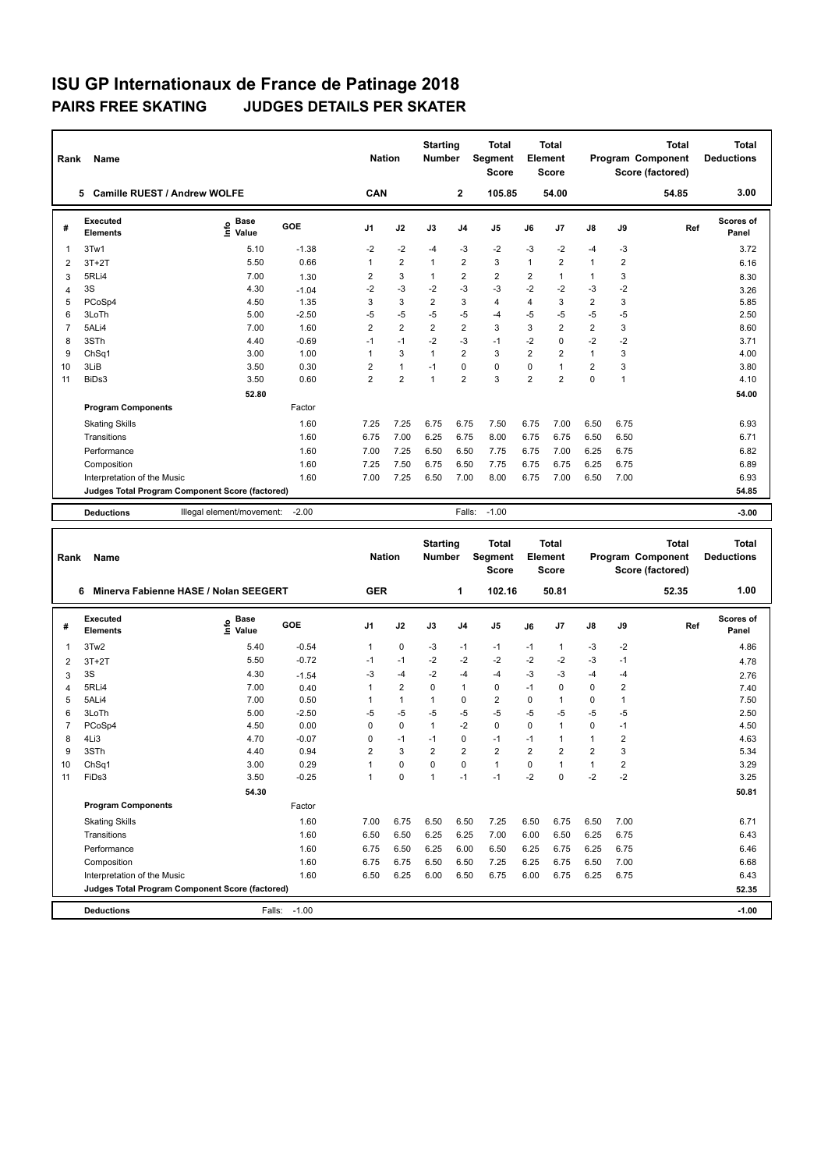| Rank           | Name                                            |                            | <b>Nation</b> |                | <b>Starting</b><br><b>Number</b> | <b>Total</b><br><b>Segment</b><br><b>Score</b> | <b>Total</b><br>Element<br><b>Score</b> |                |                |                | <b>Total</b><br>Program Component<br>Score (factored) | <b>Total</b><br><b>Deductions</b> |       |                    |
|----------------|-------------------------------------------------|----------------------------|---------------|----------------|----------------------------------|------------------------------------------------|-----------------------------------------|----------------|----------------|----------------|-------------------------------------------------------|-----------------------------------|-------|--------------------|
|                | <b>Camille RUEST / Andrew WOLFE</b><br>5.       |                            |               |                | CAN                              |                                                | $\mathbf{2}$                            | 105.85         |                | 54.00          |                                                       |                                   | 54.85 | 3.00               |
| #              | Executed<br><b>Elements</b>                     | <b>Base</b><br>۴ô<br>Value | GOE           | J <sub>1</sub> | J2                               | J3                                             | J <sub>4</sub>                          | J <sub>5</sub> | J6             | J7             | J8                                                    | J9                                | Ref   | Scores of<br>Panel |
| 1              | 3Tw1                                            | 5.10                       | $-1.38$       | $-2$           | $-2$                             | $-4$                                           | $-3$                                    | $-2$           | $-3$           | $-2$           | $-4$                                                  | $-3$                              |       | 3.72               |
| 2              | $3T+2T$                                         | 5.50                       | 0.66          | 1              | $\overline{2}$                   | $\overline{1}$                                 | $\overline{2}$                          | 3              | 1              | $\overline{2}$ | 1                                                     | $\overline{2}$                    |       | 6.16               |
| 3              | 5RLi4                                           | 7.00                       | 1.30          | 2              | 3                                | $\mathbf{1}$                                   | $\overline{2}$                          | $\overline{2}$ | 2              | 1              | 1                                                     | 3                                 |       | 8.30               |
| 4              | 3S                                              | 4.30                       | $-1.04$       | $-2$           | $-3$                             | $-2$                                           | $-3$                                    | $-3$           | $-2$           | $-2$           | $-3$                                                  | $-2$                              |       | 3.26               |
| 5              | PCoSp4                                          | 4.50                       | 1.35          | 3              | 3                                | $\overline{2}$                                 | 3                                       | $\overline{4}$ | $\overline{4}$ | 3              | $\overline{2}$                                        | 3                                 |       | 5.85               |
| 6              | 3LoTh                                           | 5.00                       | $-2.50$       | $-5$           | $-5$                             | $-5$                                           | $-5$                                    | $-4$           | -5             | $-5$           | $-5$                                                  | -5                                |       | 2.50               |
| $\overline{7}$ | 5ALi4                                           | 7.00                       | 1.60          | 2              | $\overline{2}$                   | $\overline{2}$                                 | $\overline{2}$                          | 3              | 3              | $\overline{2}$ | $\overline{2}$                                        | 3                                 |       | 8.60               |
| 8              | 3STh                                            | 4.40                       | $-0.69$       | $-1$           | $-1$                             | $-2$                                           | $-3$                                    | $-1$           | $-2$           | $\Omega$       | $-2$                                                  | $-2$                              |       | 3.71               |
| 9              | Ch <sub>Sq1</sub>                               | 3.00                       | 1.00          | 1              | 3                                | $\overline{1}$                                 | $\overline{2}$                          | 3              | $\overline{2}$ | 2              | $\mathbf{1}$                                          | 3                                 |       | 4.00               |
| 10             | 3LiB                                            | 3.50                       | 0.30          | $\overline{2}$ | $\overline{1}$                   | $-1$                                           | $\Omega$                                | 0              | $\Omega$       | $\overline{1}$ | $\overline{2}$                                        | 3                                 |       | 3.80               |
| 11             | BiDs3                                           | 3.50                       | 0.60          | $\overline{2}$ | $\overline{2}$                   | $\overline{1}$                                 | $\overline{2}$                          | 3              | $\overline{2}$ | $\overline{2}$ | 0                                                     | 1                                 |       | 4.10               |
|                |                                                 | 52.80                      |               |                |                                  |                                                |                                         |                |                |                |                                                       |                                   |       | 54.00              |
|                | <b>Program Components</b>                       |                            | Factor        |                |                                  |                                                |                                         |                |                |                |                                                       |                                   |       |                    |
|                | <b>Skating Skills</b>                           |                            | 1.60          | 7.25           | 7.25                             | 6.75                                           | 6.75                                    | 7.50           | 6.75           | 7.00           | 6.50                                                  | 6.75                              |       | 6.93               |
|                | Transitions                                     |                            | 1.60          | 6.75           | 7.00                             | 6.25                                           | 6.75                                    | 8.00           | 6.75           | 6.75           | 6.50                                                  | 6.50                              |       | 6.71               |
|                | Performance                                     |                            | 1.60          | 7.00           | 7.25                             | 6.50                                           | 6.50                                    | 7.75           | 6.75           | 7.00           | 6.25                                                  | 6.75                              |       | 6.82               |
|                | Composition                                     |                            | 1.60          | 7.25           | 7.50                             | 6.75                                           | 6.50                                    | 7.75           | 6.75           | 6.75           | 6.25                                                  | 6.75                              |       | 6.89               |
|                | Interpretation of the Music                     |                            | 1.60          | 7.00           | 7.25                             | 6.50                                           | 7.00                                    | 8.00           | 6.75           | 7.00           | 6.50                                                  | 7.00                              |       | 6.93               |
|                | Judges Total Program Component Score (factored) |                            |               |                |                                  |                                                |                                         |                |                |                |                                                       |                                   |       | 54.85              |
|                | <b>Deductions</b>                               | Illegal element/movement:  | $-2.00$       |                |                                  |                                                | Falls:                                  | $-1.00$        |                |                |                                                       |                                   |       | $-3.00$            |

| Rank           | Name                                            |                              |         | <b>Nation</b>  |                | <b>Starting</b><br><b>Number</b> |                | <b>Total</b><br>Segment<br><b>Score</b> |                | <b>Total</b><br>Element<br><b>Score</b> |                |                | <b>Total</b><br>Program Component<br>Score (factored) | <b>Total</b><br><b>Deductions</b> |
|----------------|-------------------------------------------------|------------------------------|---------|----------------|----------------|----------------------------------|----------------|-----------------------------------------|----------------|-----------------------------------------|----------------|----------------|-------------------------------------------------------|-----------------------------------|
|                | Minerva Fabienne HASE / Nolan SEEGERT<br>6      |                              |         | <b>GER</b>     |                |                                  | 1              | 102.16                                  |                | 50.81                                   |                |                | 52.35                                                 | 1.00                              |
| #              | Executed<br><b>Elements</b>                     | <b>Base</b><br>١mfo<br>Value | GOE     | J <sub>1</sub> | J2             | J3                               | J <sub>4</sub> | J <sub>5</sub>                          | J6             | J7                                      | $\mathsf{J}8$  | J9             | Ref                                                   | <b>Scores of</b><br>Panel         |
| $\overline{1}$ | 3Tw2                                            | 5.40                         | $-0.54$ | 1              | $\mathbf 0$    | $-3$                             | $-1$           | $-1$                                    | $-1$           | 1                                       | $-3$           | $-2$           |                                                       | 4.86                              |
| $\overline{2}$ | $3T+2T$                                         | 5.50                         | $-0.72$ | $-1$           | $-1$           | $-2$                             | $-2$           | $-2$                                    | $-2$           | $-2$                                    | $-3$           | $-1$           |                                                       | 4.78                              |
| 3              | 3S                                              | 4.30                         | $-1.54$ | -3             | $-4$           | $-2$                             | $-4$           | -4                                      | $-3$           | $-3$                                    | -4             | $-4$           |                                                       | 2.76                              |
| $\overline{4}$ | 5RLi4                                           | 7.00                         | 0.40    | 1              | $\overline{2}$ | $\Omega$                         | $\overline{1}$ | $\mathbf 0$                             | $-1$           | $\Omega$                                | 0              | $\overline{2}$ |                                                       | 7.40                              |
| 5              | 5ALi4                                           | 7.00                         | 0.50    | 1              | $\mathbf{1}$   | 1                                | $\mathbf 0$    | $\overline{2}$                          | 0              | 1                                       | 0              | $\mathbf{1}$   |                                                       | 7.50                              |
| 6              | 3LoTh                                           | 5.00                         | $-2.50$ | $-5$           | $-5$           | $-5$                             | $-5$           | $-5$                                    | $-5$           | $-5$                                    | -5             | $-5$           |                                                       | 2.50                              |
| $\overline{7}$ | PCoSp4                                          | 4.50                         | 0.00    | 0              | 0              | $\mathbf{1}$                     | $-2$           | 0                                       | 0              | $\mathbf{1}$                            | 0              | $-1$           |                                                       | 4.50                              |
| 8              | 4Li3                                            | 4.70                         | $-0.07$ | $\Omega$       | $-1$           | $-1$                             | 0              | $-1$                                    | $-1$           | 1                                       | $\mathbf{1}$   | 2              |                                                       | 4.63                              |
| 9              | 3STh                                            | 4.40                         | 0.94    | $\overline{2}$ | 3              | $\overline{2}$                   | $\overline{2}$ | $\overline{2}$                          | $\overline{2}$ | $\overline{2}$                          | $\overline{2}$ | 3              |                                                       | 5.34                              |
| 10             | Ch <sub>Sq1</sub>                               | 3.00                         | 0.29    | $\mathbf{1}$   | $\Omega$       | $\Omega$                         | $\Omega$       | $\mathbf{1}$                            | $\Omega$       | $\blacktriangleleft$                    | $\mathbf{1}$   | 2              |                                                       | 3.29                              |
| 11             | FiDs3                                           | 3.50                         | $-0.25$ | $\mathbf{1}$   | 0              | 1                                | $-1$           | $-1$                                    | $-2$           | $\Omega$                                | $-2$           | $-2$           |                                                       | 3.25                              |
|                |                                                 | 54.30                        |         |                |                |                                  |                |                                         |                |                                         |                |                |                                                       | 50.81                             |
|                | <b>Program Components</b>                       |                              | Factor  |                |                |                                  |                |                                         |                |                                         |                |                |                                                       |                                   |
|                | <b>Skating Skills</b>                           |                              | 1.60    | 7.00           | 6.75           | 6.50                             | 6.50           | 7.25                                    | 6.50           | 6.75                                    | 6.50           | 7.00           |                                                       | 6.71                              |
|                | Transitions                                     |                              | 1.60    | 6.50           | 6.50           | 6.25                             | 6.25           | 7.00                                    | 6.00           | 6.50                                    | 6.25           | 6.75           |                                                       | 6.43                              |
|                | Performance                                     |                              | 1.60    | 6.75           | 6.50           | 6.25                             | 6.00           | 6.50                                    | 6.25           | 6.75                                    | 6.25           | 6.75           |                                                       | 6.46                              |
|                | Composition                                     |                              | 1.60    | 6.75           | 6.75           | 6.50                             | 6.50           | 7.25                                    | 6.25           | 6.75                                    | 6.50           | 7.00           |                                                       | 6.68                              |
|                | Interpretation of the Music                     |                              | 1.60    | 6.50           | 6.25           | 6.00                             | 6.50           | 6.75                                    | 6.00           | 6.75                                    | 6.25           | 6.75           |                                                       | 6.43                              |
|                | Judges Total Program Component Score (factored) |                              |         |                |                |                                  |                |                                         |                |                                         |                |                |                                                       | 52.35                             |
|                | <b>Deductions</b>                               | Falls:                       | $-1.00$ |                |                |                                  |                |                                         |                |                                         |                |                |                                                       | $-1.00$                           |